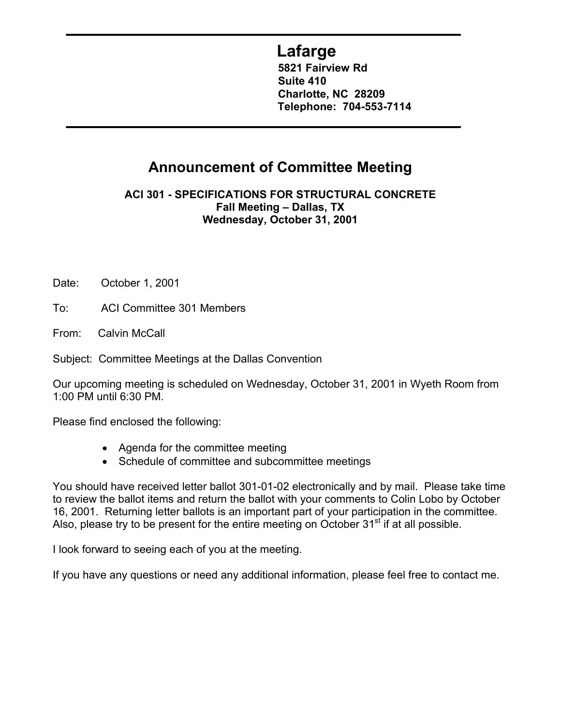# **Lafarge**

**5821 Fairview Rd Suite 410 Charlotte, NC 28209 Telephone: 704-553-7114** 

## **Announcement of Committee Meeting**

**ACI 301 - SPECIFICATIONS FOR STRUCTURAL CONCRETE Fall Meeting – Dallas, TX Wednesday, October 31, 2001**

Date: October 1, 2001

To: ACI Committee 301 Members

From: Calvin McCall

Subject: Committee Meetings at the Dallas Convention

Our upcoming meeting is scheduled on Wednesday, October 31, 2001 in Wyeth Room from 1:00 PM until 6:30 PM.

Please find enclosed the following:

- Agenda for the committee meeting
- Schedule of committee and subcommittee meetings

You should have received letter ballot 301-01-02 electronically and by mail. Please take time to review the ballot items and return the ballot with your comments to Colin Lobo by October 16, 2001. Returning letter ballots is an important part of your participation in the committee. Also, please try to be present for the entire meeting on October  $31<sup>st</sup>$  if at all possible.

I look forward to seeing each of you at the meeting.

If you have any questions or need any additional information, please feel free to contact me.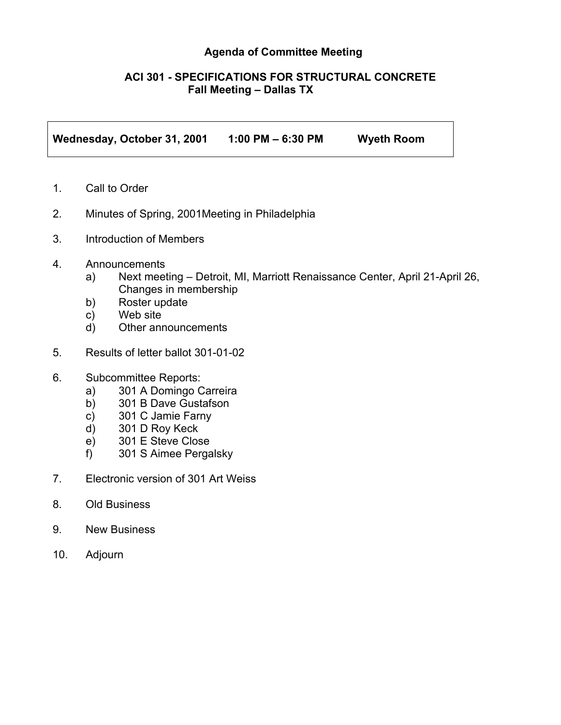#### **Agenda of Committee Meeting**

#### **ACI 301 - SPECIFICATIONS FOR STRUCTURAL CONCRETE Fall Meeting – Dallas TX**

**Wednesday, October 31, 2001 1:00 PM – 6:30 PM Wyeth Room** 

- 1. Call to Order
- 2. Minutes of Spring, 2001Meeting in Philadelphia
- 3. Introduction of Members
- 4. Announcements
	- a) Next meeting Detroit, MI, Marriott Renaissance Center, April 21-April 26, Changes in membership
	- b) Roster update
	- c) Web site
	- d) Other announcements
- 5. Results of letter ballot 301-01-02
- 6. Subcommittee Reports:
	- a) 301 A Domingo Carreira
	- b) 301 B Dave Gustafson
	- c) 301 C Jamie Farny
	- d) 301 D Roy Keck
	- e) 301 E Steve Close
	- f) 301 S Aimee Pergalsky
- 7. Electronic version of 301 Art Weiss
- 8. Old Business
- 9. New Business
- 10. Adjourn